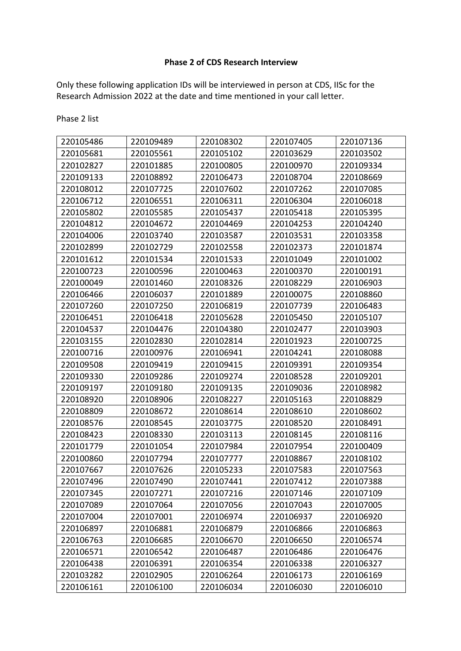## **Phase 2 of CDS Research Interview**

Only these following application IDs will be interviewed in person at CDS, IISc for the Research Admission 2022 at the date and time mentioned in your call letter.

Phase 2 list

| 220105486 | 220109489 | 220108302 | 220107405 | 220107136 |
|-----------|-----------|-----------|-----------|-----------|
| 220105681 | 220105561 | 220105102 | 220103629 | 220103502 |
| 220102827 | 220101885 | 220100805 | 220100970 | 220109334 |
| 220109133 | 220108892 | 220106473 | 220108704 | 220108669 |
| 220108012 | 220107725 | 220107602 | 220107262 | 220107085 |
| 220106712 | 220106551 | 220106311 | 220106304 | 220106018 |
| 220105802 | 220105585 | 220105437 | 220105418 | 220105395 |
| 220104812 | 220104672 | 220104469 | 220104253 | 220104240 |
| 220104006 | 220103740 | 220103587 | 220103531 | 220103358 |
| 220102899 | 220102729 | 220102558 | 220102373 | 220101874 |
| 220101612 | 220101534 | 220101533 | 220101049 | 220101002 |
| 220100723 | 220100596 | 220100463 | 220100370 | 220100191 |
| 220100049 | 220101460 | 220108326 | 220108229 | 220106903 |
| 220106466 | 220106037 | 220101889 | 220100075 | 220108860 |
| 220107260 | 220107250 | 220106819 | 220107739 | 220106483 |
| 220106451 | 220106418 | 220105628 | 220105450 | 220105107 |
| 220104537 | 220104476 | 220104380 | 220102477 | 220103903 |
| 220103155 | 220102830 | 220102814 | 220101923 | 220100725 |
| 220100716 | 220100976 | 220106941 | 220104241 | 220108088 |
| 220109508 | 220109419 | 220109415 | 220109391 | 220109354 |
| 220109330 | 220109286 | 220109274 | 220108528 | 220109201 |
| 220109197 | 220109180 | 220109135 | 220109036 | 220108982 |
| 220108920 | 220108906 | 220108227 | 220105163 | 220108829 |
| 220108809 | 220108672 | 220108614 | 220108610 | 220108602 |
| 220108576 | 220108545 | 220103775 | 220108520 | 220108491 |
| 220108423 | 220108330 | 220103113 | 220108145 | 220108116 |
| 220101779 | 220101054 | 220107984 | 220107954 | 220100409 |
| 220100860 | 220107794 | 220107777 | 220108867 | 220108102 |
| 220107667 | 220107626 | 220105233 | 220107583 | 220107563 |
| 220107496 | 220107490 | 220107441 | 220107412 | 220107388 |
| 220107345 | 220107271 | 220107216 | 220107146 | 220107109 |
| 220107089 | 220107064 | 220107056 | 220107043 | 220107005 |
| 220107004 | 220107001 | 220106974 | 220106937 | 220106920 |
| 220106897 | 220106881 | 220106879 | 220106866 | 220106863 |
| 220106763 | 220106685 | 220106670 | 220106650 | 220106574 |
| 220106571 | 220106542 | 220106487 | 220106486 | 220106476 |
| 220106438 | 220106391 | 220106354 | 220106338 | 220106327 |
| 220103282 | 220102905 | 220106264 | 220106173 | 220106169 |
| 220106161 | 220106100 | 220106034 | 220106030 | 220106010 |